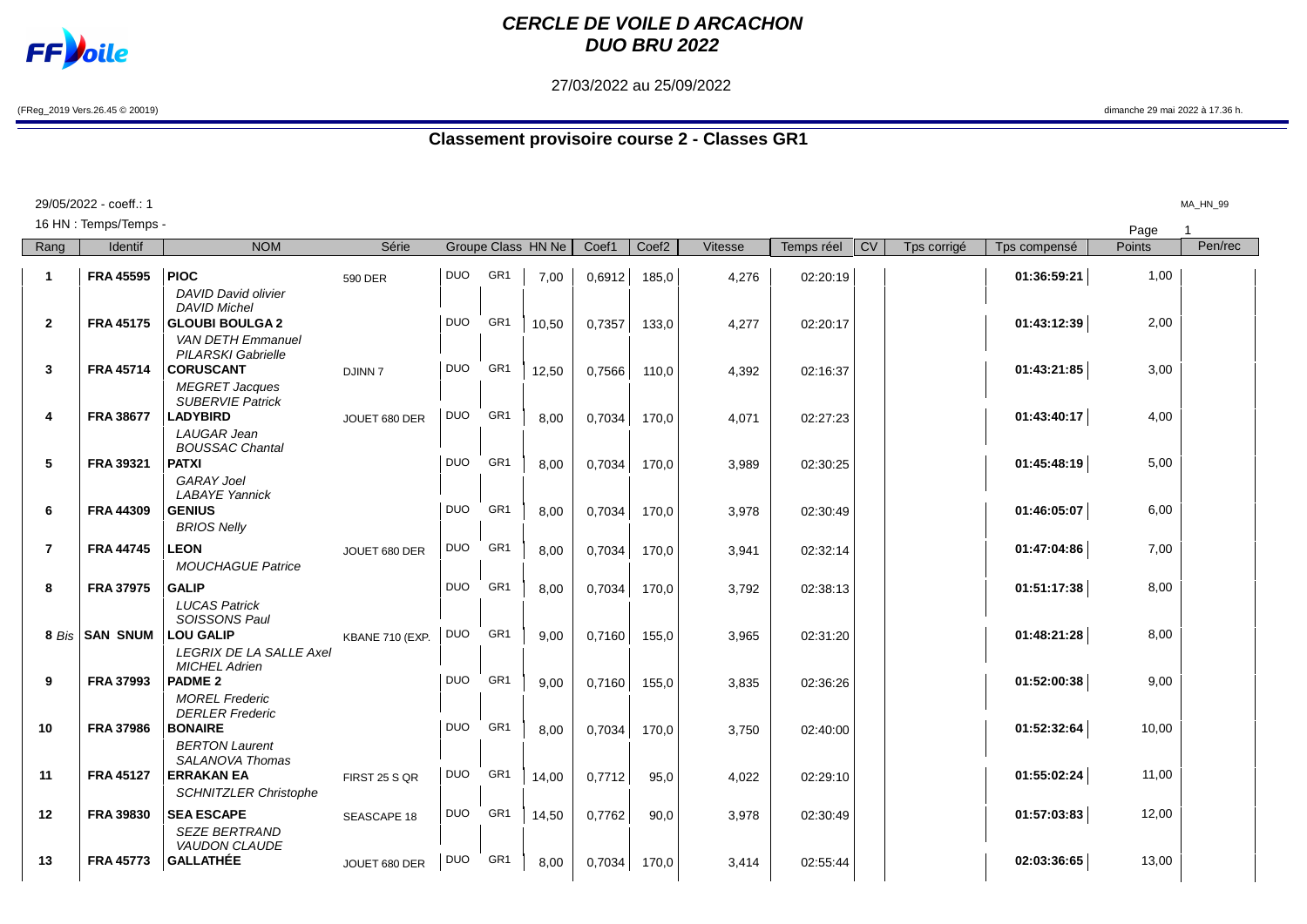

## **CERCLE DE VOILE D ARCACHON DUO BRU 2022**

27/03/2022 au 25/09/2022

(FReg\_2019 Vers.26.45 © 20019) dimanche 29 mai 2022 à 17.36 h.

## **Classement provisoire course 2 - Classes GR1**

|                | 29/05/2022 - coeff.: 1 |                                                    |                 |            |                 |                    |        |                   |         |            |    |             |              |        | MA_HN_99 |
|----------------|------------------------|----------------------------------------------------|-----------------|------------|-----------------|--------------------|--------|-------------------|---------|------------|----|-------------|--------------|--------|----------|
|                | 16 HN : Temps/Temps -  |                                                    |                 |            |                 |                    |        |                   |         |            |    |             |              | Page   |          |
| Rang           | Identif                | <b>NOM</b>                                         | Série           |            |                 | Groupe Class HN Ne | Coef1  | Coef <sub>2</sub> | Vitesse | Temps réel | CV | Tps corrigé | Tps compensé | Points | Pen/rec  |
| $\mathbf{1}$   | <b>FRA 45595</b>       | <b>PIOC</b>                                        | 590 DER         | <b>DUO</b> | GR <sub>1</sub> | 7,00               | 0,6912 | 185,0             | 4,276   | 02:20:19   |    |             | 01:36:59:21  | 1,00   |          |
|                |                        | <b>DAVID David olivier</b><br><b>DAVID Michel</b>  |                 |            |                 |                    |        |                   |         |            |    |             |              |        |          |
| $\mathbf{2}$   | <b>FRA 45175</b>       | <b>GLOUBI BOULGA 2</b><br><b>VAN DETH Emmanuel</b> |                 | <b>DUO</b> | GR <sub>1</sub> | 10,50              | 0,7357 | 133,0             | 4,277   | 02:20:17   |    |             | 01:43:12:39  | 2,00   |          |
| 3              | <b>FRA 45714</b>       | <b>PILARSKI Gabrielle</b><br><b>CORUSCANT</b>      | <b>DJINN7</b>   | <b>DUO</b> | GR <sub>1</sub> | 12,50              | 0,7566 | 110,0             | 4,392   | 02:16:37   |    |             | 01:43:21:85  | 3,00   |          |
|                |                        | <b>MEGRET Jacques</b><br><b>SUBERVIE Patrick</b>   |                 |            |                 |                    |        |                   |         |            |    |             |              |        |          |
| 4              | <b>FRA 38677</b>       | <b>LADYBIRD</b>                                    | JOUET 680 DER   | <b>DUO</b> | GR <sub>1</sub> | 8.00               | 0,7034 | 170,0             | 4,071   | 02:27:23   |    |             | 01:43:40:17  | 4,00   |          |
|                |                        | LAUGAR Jean<br><b>BOUSSAC Chantal</b>              |                 |            |                 |                    |        |                   |         |            |    |             |              |        |          |
| 5              | <b>FRA 39321</b>       | <b>PATXI</b><br><b>GARAY Joel</b>                  |                 | <b>DUO</b> | GR <sub>1</sub> | 8,00               | 0,7034 | 170,0             | 3,989   | 02:30:25   |    |             | 01:45:48:19  | 5,00   |          |
| 6              | <b>FRA 44309</b>       | <b>LABAYE Yannick</b><br><b>GENIUS</b>             |                 | <b>DUO</b> | GR <sub>1</sub> | 8,00               | 0,7034 | 170,0             | 3,978   | 02:30:49   |    |             | 01:46:05:07  | 6,00   |          |
|                |                        | <b>BRIOS Nelly</b>                                 |                 |            |                 |                    |        |                   |         |            |    |             |              |        |          |
| $\overline{7}$ | <b>FRA 44745</b>       | <b>LEON</b><br><b>MOUCHAGUE Patrice</b>            | JOUET 680 DER   | <b>DUO</b> | GR <sub>1</sub> | 8,00               | 0,7034 | 170,0             | 3,941   | 02:32:14   |    |             | 01:47:04:86  | 7,00   |          |
| 8              | <b>FRA 37975</b>       | <b>GALIP</b><br><b>LUCAS Patrick</b>               |                 | <b>DUO</b> | GR <sub>1</sub> | 8,00               | 0,7034 | 170,0             | 3,792   | 02:38:13   |    |             | 01:51:17:38  | 8,00   |          |
| 8 Bis          | <b>SAN SNUM</b>        | SOISSONS Paul<br><b>LOU GALIP</b>                  |                 | <b>DUO</b> | GR <sub>1</sub> |                    |        |                   |         |            |    |             | 01:48:21:28  | 8,00   |          |
|                |                        | <b>LEGRIX DE LA SALLE Axel</b>                     | KBANE 710 (EXP. |            |                 | 9.00               | 0,7160 | 155,0             | 3,965   | 02:31:20   |    |             |              |        |          |
| 9              | <b>FRA 37993</b>       | <b>MICHEL Adrien</b><br><b>PADME 2</b>             |                 | <b>DUO</b> | GR <sub>1</sub> | 9.00               | 0,7160 | 155,0             | 3,835   | 02:36:26   |    |             | 01:52:00:38  | 9,00   |          |
|                |                        | <b>MOREL Frederic</b><br><b>DERLER Frederic</b>    |                 |            |                 |                    |        |                   |         |            |    |             |              |        |          |
| 10             | <b>FRA 37986</b>       | <b>BONAIRE</b><br><b>BERTON Laurent</b>            |                 | <b>DUO</b> | GR <sub>1</sub> | 8,00               | 0,7034 | 170,0             | 3,750   | 02:40:00   |    |             | 01:52:32:64  | 10,00  |          |
| 11             | <b>FRA 45127</b>       | SALANOVA Thomas<br><b>ERRAKAN EA</b>               | FIRST 25 S QR   | DUO        | GR <sub>1</sub> | 14,00              | 0,7712 | 95,0              | 4,022   | 02:29:10   |    |             | 01:55:02:24  | 11,00  |          |
|                |                        | <b>SCHNITZLER Christophe</b>                       |                 |            |                 |                    |        |                   |         |            |    |             |              |        |          |
| $12 \,$        | <b>FRA 39830</b>       | <b>SEA ESCAPE</b><br><b>SEZE BERTRAND</b>          | SEASCAPE 18     | <b>DUO</b> | GR <sub>1</sub> | 14,50              | 0,7762 | 90,0              | 3.978   | 02:30:49   |    |             | 01:57:03:83  | 12,00  |          |
| 13             | <b>FRA 45773</b>       | <b>VAUDON CLAUDE</b><br><b>GALLATHÉE</b>           | JOUET 680 DER   | <b>DUO</b> | GR <sub>1</sub> | 8,00               | 0,7034 | 170,0             | 3,414   | 02:55:44   |    |             | 02:03:36:65  | 13,00  |          |
|                |                        |                                                    |                 |            |                 |                    |        |                   |         |            |    |             |              |        |          |